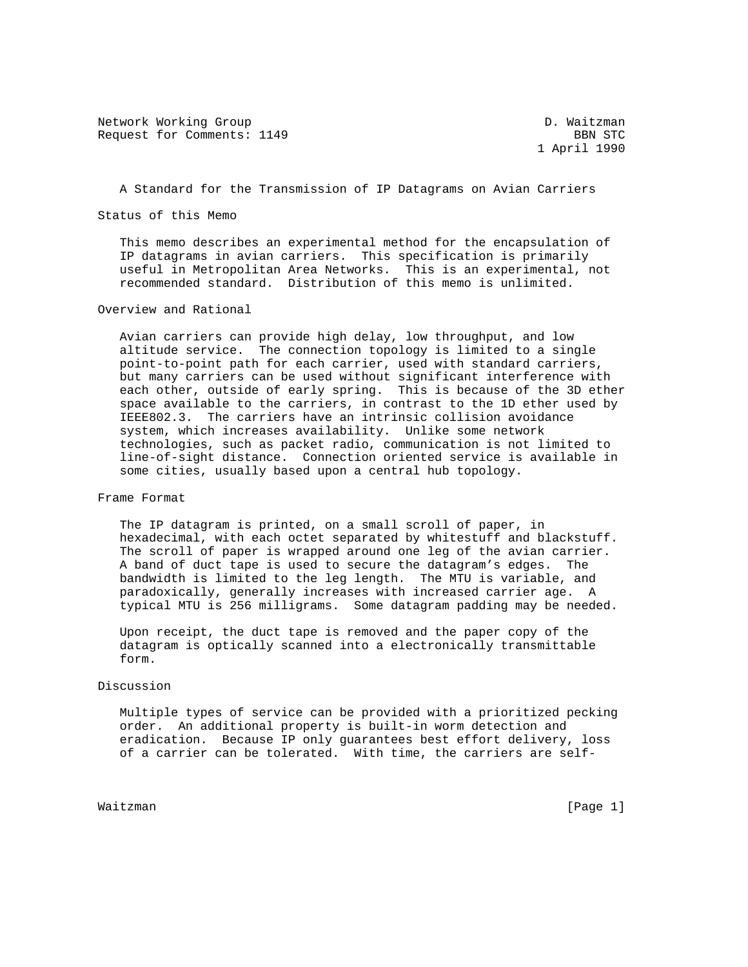Network Working Group and the contract of the D. Waitzman Request for Comments: 1149 BBN STC

1 April 1990

A Standard for the Transmission of IP Datagrams on Avian Carriers

Status of this Memo

 This memo describes an experimental method for the encapsulation of IP datagrams in avian carriers. This specification is primarily useful in Metropolitan Area Networks. This is an experimental, not recommended standard. Distribution of this memo is unlimited.

Overview and Rational

 Avian carriers can provide high delay, low throughput, and low altitude service. The connection topology is limited to a single point-to-point path for each carrier, used with standard carriers, but many carriers can be used without significant interference with each other, outside of early spring. This is because of the 3D ether space available to the carriers, in contrast to the 1D ether used by IEEE802.3. The carriers have an intrinsic collision avoidance system, which increases availability. Unlike some network technologies, such as packet radio, communication is not limited to line-of-sight distance. Connection oriented service is available in some cities, usually based upon a central hub topology.

Frame Format

 The IP datagram is printed, on a small scroll of paper, in hexadecimal, with each octet separated by whitestuff and blackstuff. The scroll of paper is wrapped around one leg of the avian carrier. A band of duct tape is used to secure the datagram's edges. The bandwidth is limited to the leg length. The MTU is variable, and paradoxically, generally increases with increased carrier age. A typical MTU is 256 milligrams. Some datagram padding may be needed.

 Upon receipt, the duct tape is removed and the paper copy of the datagram is optically scanned into a electronically transmittable form.

## Discussion

 Multiple types of service can be provided with a prioritized pecking order. An additional property is built-in worm detection and eradication. Because IP only guarantees best effort delivery, loss of a carrier can be tolerated. With time, the carriers are self-

Waitzman [Page 1]